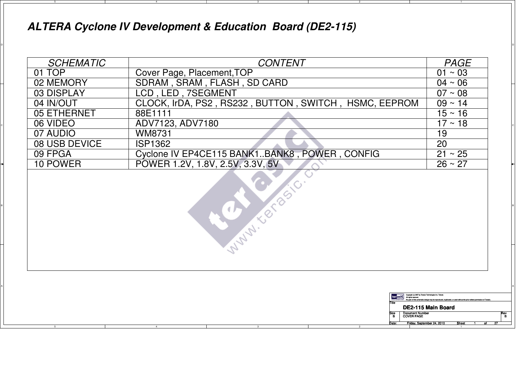## **ALTERA Cyclone IV Development & Education Board (DE2-115)**

4

5

|  | <b>SCHEMATIC</b>                                                | <b>CONTENT</b>                                                   | <b>PAGE</b>        |  |  |  |
|--|-----------------------------------------------------------------|------------------------------------------------------------------|--------------------|--|--|--|
|  | 01 TOP                                                          | $01 \sim 03$                                                     |                    |  |  |  |
|  | 02 MEMORY                                                       | $04 \sim 06$                                                     |                    |  |  |  |
|  | SDRAM, SRAM, FLASH, SD CARD<br>LCD, LED, 7SEGMENT<br>03 DISPLAY |                                                                  |                    |  |  |  |
|  | $09 - 14$                                                       |                                                                  |                    |  |  |  |
|  | 05 ETHERNET                                                     | CLOCK, IrDA, PS2, RS232, BUTTON, SWITCH, HSMC, EEPROM<br>88E1111 |                    |  |  |  |
|  | 06 VIDEO                                                        | ADV7123, ADV7180                                                 | $17 \sim 18$       |  |  |  |
|  | 07 AUDIO                                                        | <b>WM8731</b>                                                    |                    |  |  |  |
|  | 08 USB DEVICE                                                   | 20                                                               |                    |  |  |  |
|  | 09 FPGA                                                         | $21 \sim 25$                                                     |                    |  |  |  |
|  | 10 POWER                                                        | POWER 1.2V, 1.8V, 2.5V, 3.3V, 5V                                 | $26 \sim 27$       |  |  |  |
|  | entaç                                                           |                                                                  |                    |  |  |  |
|  |                                                                 | <b>Copyright (c) 2007 by Terasic Ter</b>                         | DE2-115 Main Board |  |  |  |
|  | <b>Document Number</b><br><b>COVER PAGE</b>                     |                                                                  |                    |  |  |  |
|  |                                                                 | Friday, September 24, 2010                                       | Sheet              |  |  |  |

ol and the contract of the contract of the contract of the contract of the contract of the contract of the contract of the contract of the contract of the contract of the contract of the contract of the contract of the con

2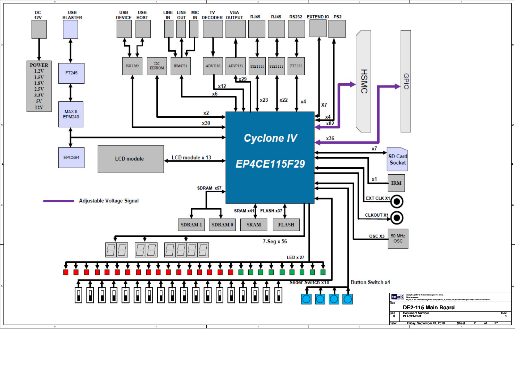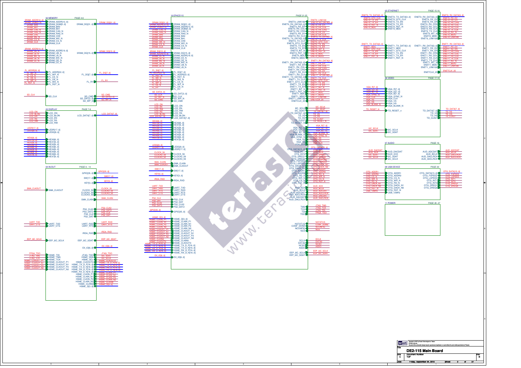

Date: Sheet of Friday, September 24, 2010<u>0 | Sheet 3 of 27</u>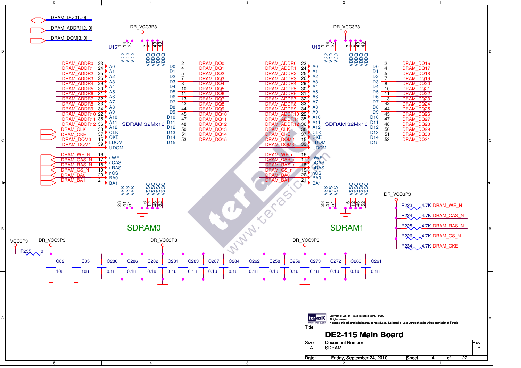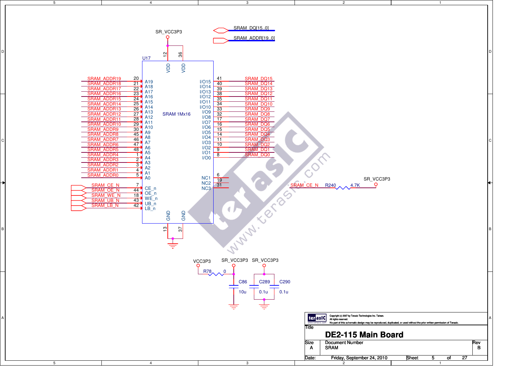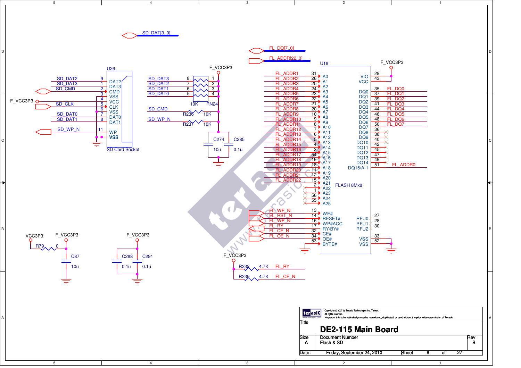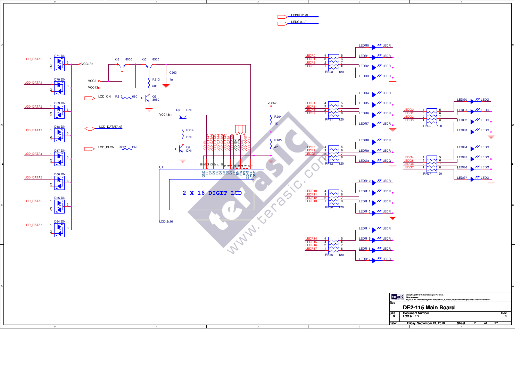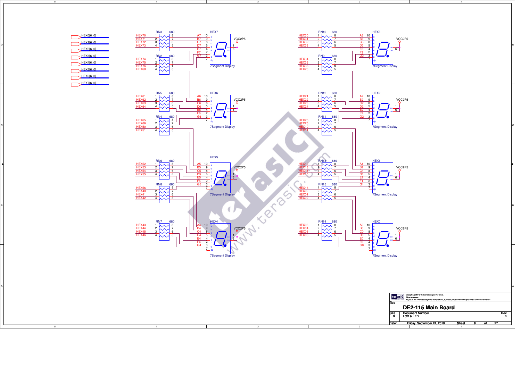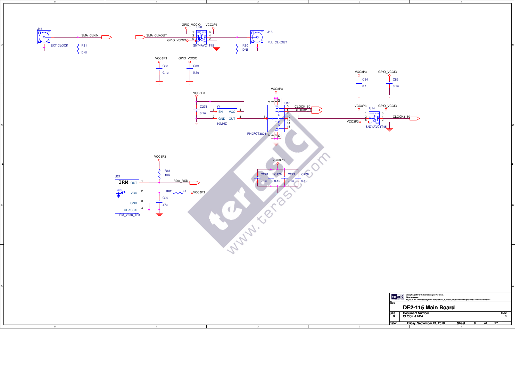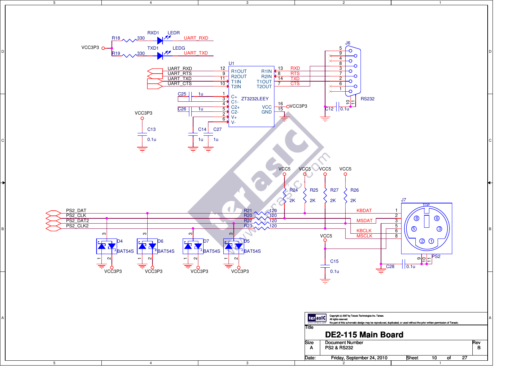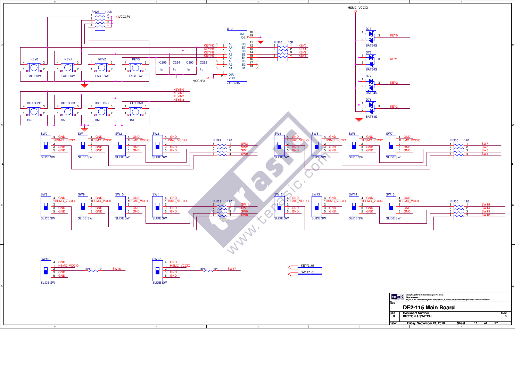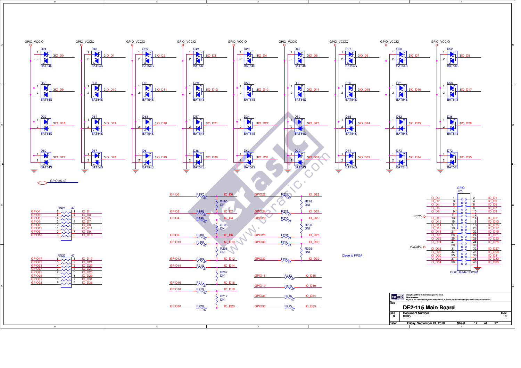

2

5

4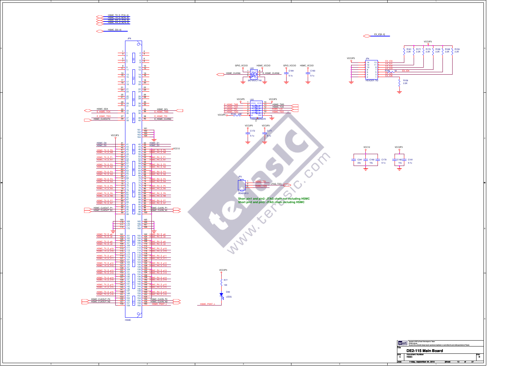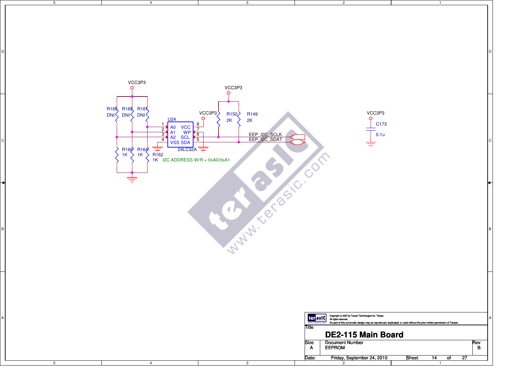| $5\overline{)}$ | $\overline{4}$                                                                                                                                                                                                           | $\mathbf{3}$                                                                                                       | $\overline{2}$                                                                                                                                                                    |                                                                                                                                      |  |
|-----------------|--------------------------------------------------------------------------------------------------------------------------------------------------------------------------------------------------------------------------|--------------------------------------------------------------------------------------------------------------------|-----------------------------------------------------------------------------------------------------------------------------------------------------------------------------------|--------------------------------------------------------------------------------------------------------------------------------------|--|
|                 |                                                                                                                                                                                                                          |                                                                                                                    |                                                                                                                                                                                   |                                                                                                                                      |  |
|                 | VCC3P3<br>R <sub>16</sub> R <sub>16</sub> R <sub>16</sub>                                                                                                                                                                | VCC3P3<br>VCC3P3<br>R <sub>150</sub><br>R <sub>149</sub>                                                           | VCC3P3<br>∩                                                                                                                                                                       |                                                                                                                                      |  |
|                 | U <sub>24</sub><br>A0 VCC<br>A1 WP<br>A2 SCL<br>VSS SDA<br>$\overline{2}$<br>$\overline{3}$<br>$\overline{4}$<br>$R160$ $R164$<br>$1K$ $1K$<br>$\frac{1}{\sqrt{2}}$ 24LC32A =<br>R162<br>R1K I2C ADDRESS W/R = 0xA0/0xA1 | 2K<br>2K<br>8<br>$\overline{7}$<br>EEP 12C SCLK<br>EEP 12C SDAT<br>$\begin{array}{c}\n6 \\ \hline\n5\n\end{array}$ | C173<br>0.1u                                                                                                                                                                      |                                                                                                                                      |  |
|                 |                                                                                                                                                                                                                          |                                                                                                                    |                                                                                                                                                                                   |                                                                                                                                      |  |
|                 |                                                                                                                                                                                                                          | MANY TO BOY                                                                                                        |                                                                                                                                                                                   |                                                                                                                                      |  |
|                 |                                                                                                                                                                                                                          |                                                                                                                    |                                                                                                                                                                                   |                                                                                                                                      |  |
|                 |                                                                                                                                                                                                                          |                                                                                                                    | ter asic Copyright (c) 2007 by Terasic Technologies Inc. Taiwan.<br>www.terasic.com<br>Title<br>DE2-115 Main Board<br><b>Document Number</b><br><b>Size</b><br><b>EEPROM</b><br>A | No part of this schematic design may be reproduced, duplicated, or used without the prior written permission of Terasic.<br>Rev<br>B |  |
| $5\overline{)}$ | 4                                                                                                                                                                                                                        | $\mathbf{3}$                                                                                                       | Friday, September 24, 2010<br>Date:<br>$\overline{2}$                                                                                                                             | Sheet<br>$\overline{14}$<br>$\overline{27}$<br>of<br>$\overline{1}$                                                                  |  |
|                 |                                                                                                                                                                                                                          |                                                                                                                    |                                                                                                                                                                                   |                                                                                                                                      |  |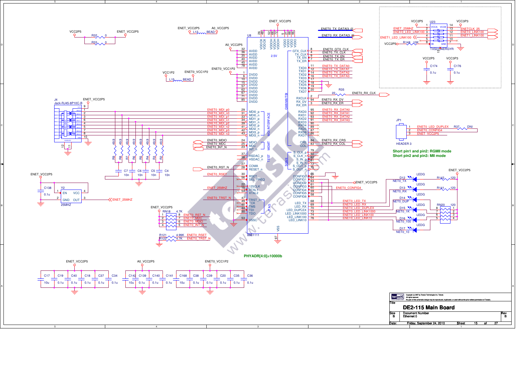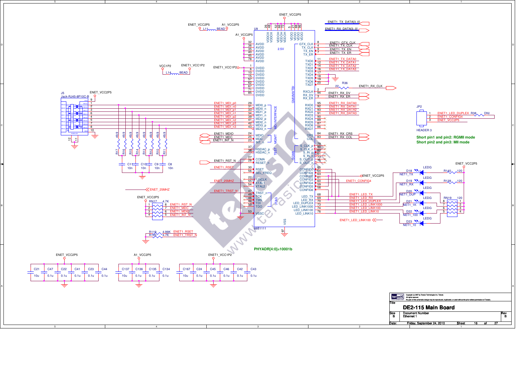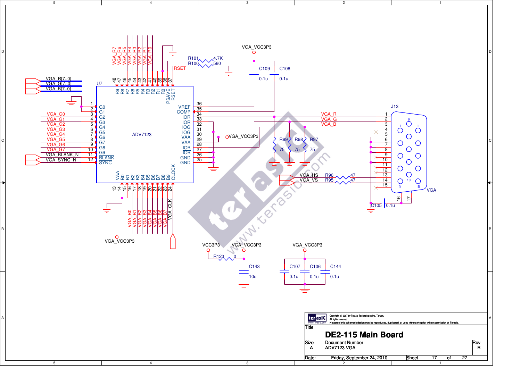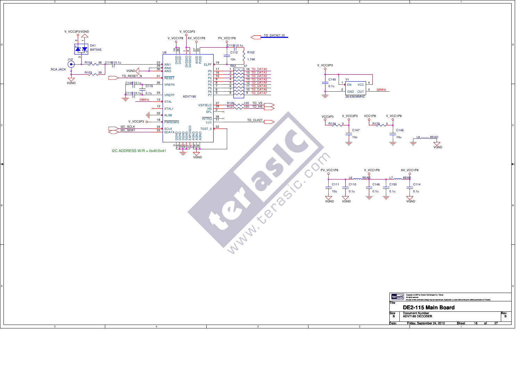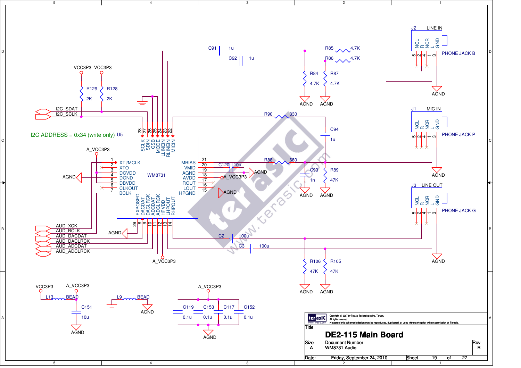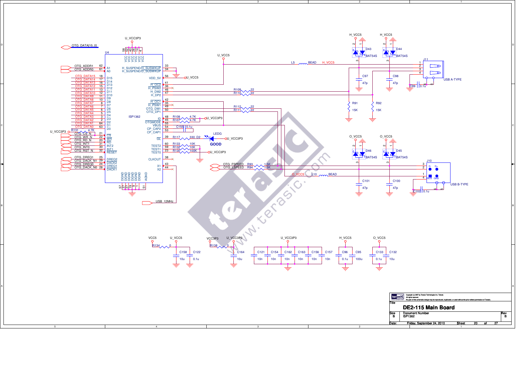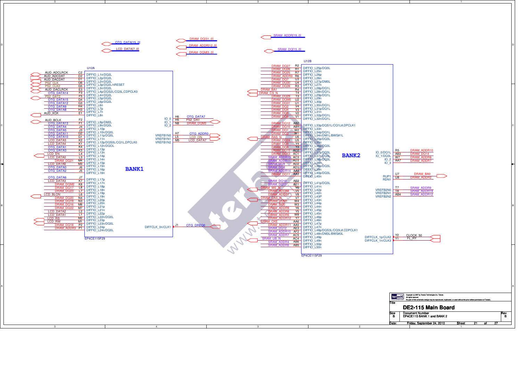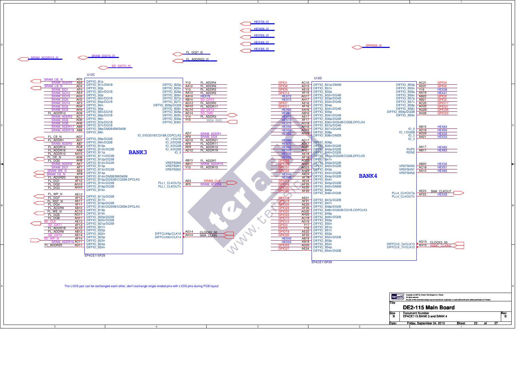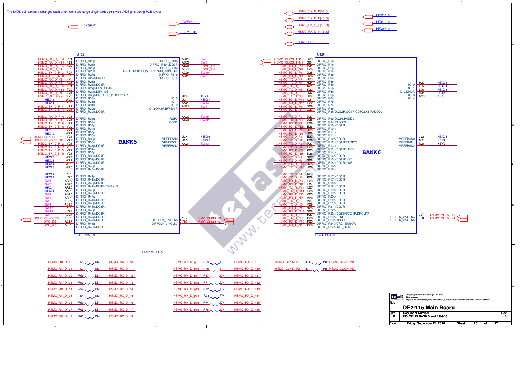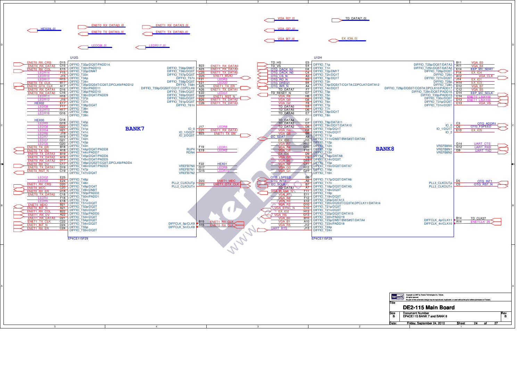| <b>U12G</b><br>U12H<br>D <sub>15</sub><br>E <sub>5</sub><br><b>ENETO_RX_CRS</b><br>TD_HS<br><b>B11</b><br>VGA B3<br>DIFFIO T1p<br>DIFFIO T25p/DQ5T/DATA3<br>DIFFIO T32p/DQ5T/PADD14<br>C15<br>E4<br>ENET1 RX DATA0<br>A <sub>11</sub><br>NETO RX DATA3<br>B23<br>TD_VS<br>VGA B4<br>DIFFIO T32n/PADD13<br>DIFFIO_T25n/DQ5T/DATA2<br>DIFFIO_T56p/DM0T<br>DIFFIO_T1n<br>A23<br>EEP I2C SDAT<br>E15<br>D4<br>E14<br><b>ENET1 RX DATA:</b><br>ENETO RX CC<br>OTG DACK N1<br>OTG DACK N0<br>OTG CS N<br>DIFFIO_T33p/DM4T<br>DIFFIO_T56n/DQ0T<br>$\frac{64}{C4}$ DIFFIO_T2p/DM1T<br>DIFFIO_T26p/DQ5T<br><b>ENET1 TX DATAC</b><br>F15<br>C <sub>25</sub><br>F14<br><b>EX 104</b><br>DIFFIO_T2n/DQ1T<br>DIFFIO_T33n<br>DIFFIO_T57p/DQ0T<br>DIFFIO T26n<br><b>ENET1 MDIO</b><br>$\frac{J15}{H15}$<br>D <sub>25</sub><br>A3<br>A12<br><b>VGA CLK</b><br>DIFFIO_T34p<br>DIFFIO_T57n<br>DIFFIO_T3p/DQ1T<br>DIFFIO_T27n/DQ5T<br>B3<br>OTG RD N<br>F <sub>21</sub><br>J14<br>EX IO1<br>DIFFIO_T58p/DQ0T<br>DIFFIO_T28p<br>DIFFIO T34n<br>$\frac{1}{\overline{BA}}$ DIFFIO_T3n<br><b>B17</b><br>E21<br>H14<br><b>EX_IO3</b><br><b>ENETO TX CLK</b><br><b>OTG DREQ1</b><br>A4 DIFFIO_T4p/DQS1T/CQ1T#,CDPCLK7/DATA12<br>DIFFIO_T35p/DQS4T/CQ5T,DPCLK9/PADD12<br>DIFFIO_T58n<br>DIFFIO_T28n<br>A17<br>A25<br>ENET1_TX_ER<br>D <sub>12</sub><br>VGA B7<br>VGA B5<br>OTG_WR_N<br><b>ENETO GTX CLK</b><br>DIFFIO_T35n/PADD11<br>DIFFIO_T59p/DQS0T/CQ1T,CDPCLK6<br>$\frac{A4}{F7}$ DIFFIO_T4n/DQ1T<br>DIFFIO_T29p/DQS5T/CQ5T#,DPCLK10/PADD17<br>D <sub>16</sub><br><b>TD DATA7</b><br>A26<br>ENET1_TX_DATA1<br>NETO RX DATA1<br>C12<br>DIFFIO T36p/PADD10<br>DIFFIO T59n/DQ0T<br>$\frac{141}{97}$ DIFFIO_T5p<br>DIFFIO T29n/DQ5T/PADD16<br>ENETO RX DATA0 C16<br>TD_RESET_N<br><b>EEP I2C SCLK</b><br>E22<br>D <sub>14</sub><br>DIFFIO_T36n/DQ4T/PADD9<br>DIFFIO_T60p/DQ0T<br>H8 DIFFIO_T5n<br>DIFFIO_T30p/PADD15<br>H <sub>16</sub><br>D <sub>22</sub><br>ENET1_RST_N<br>C14<br>VGA R6<br>DIFFIO T37p<br>DIFFIO_T60n/DQ0T<br>DIFFIO_T6p<br>DIFFIO_T30n/DQ5T<br><b>B26</b><br>ENET1_TX_DATA2<br>VGA_GO<br>G8<br>D <sub>13</sub><br>J16<br>DIFFIO T37n<br>DIFFIO_T61p/DQ0T<br><b>F8</b> DIFFIO_T6n<br>DIFFIO_T31p/DQ5T<br>E17<br>C13<br>C <sub>26</sub><br><b>HEX02</b><br><b>ENET1_TX_DATA3</b><br>VGA G<br>VGA_VS<br>DIFFIO_T38p/DQ4T<br>DIFFIO_T61n<br>E8 DIFFIO_T7p<br>DIFFIO_T31n/DQ5T<br>F17<br><b>TD DATA0</b><br>DIFFIO T38n<br>DIFFIO_T7n<br><b>H17</b><br>TD_DATA5<br>D6 DIFFIO_I /n<br>E7 DIFFIO_T8p/DQ1T<br>DIFFIO T39p<br>G16<br>TD_DATA6<br>DIFFIO_T39n<br>DIFFIO_T8n<br>HEX00<br>G18<br>TD_DATA4<br>D7<br>DIFFIO T40p<br><b>C7</b><br>DIFFIO_T9n/DQ1T/DATA10<br>DB DIFFIO_T91/DQ1T/DATA10<br>TD DATA3<br>G19<br>OTG ADDR1<br>$100 \frac{C3}{C6}$<br>DIFFIO_T40n<br>OTG_FSPEED<br>G22<br>J17<br><b>LEDR</b><br>TD DATA2<br><b>BANK7</b><br>DIFFIO T41p<br>C8 DIFFIO_T10p/DQ1T<br>$IO_1/DO1T$<br>$IO$ $O$<br>H <sub>21</sub><br>C <sub>21</sub><br><b>ENET1 RX DATA1</b><br>E <sub>10</sub><br><b>EX 105</b><br>VGA G4<br>DIFFIO_T41n<br>IO_1/DQ2T<br>DIFFIO_T10n/DQ1T<br>$IO_2$<br>VGA G5<br><b>B8</b><br>J19<br><b>B25</b><br><b>ENET1 TX EN</b><br>DIFFIO_T42p<br>IO_2/DQ0T<br>A8 DIFFIO_T11p<br><b>I2C SDAT</b><br>H <sub>19</sub><br><b>LED</b><br>DIFFIO T42n<br>J10 DIFFIO T11n/DM3T/BWS#3T/DATA9<br>G <sub>21</sub><br><b>EX_IO0</b><br><b>LED</b><br>H10 DIFFIO_T12p<br>DIFFIO_T43p<br>G20<br><b>UART CTS</b><br>G14<br><b>VGA R7</b><br>VGA R4<br>DIFFIO_T43n<br>VREFB8N0<br>G10 DIFFIO T12n<br><b>B18</b><br><b>LEDR1</b><br>G12<br>F19<br><b>UART_RXD</b><br>ENETO TX ER<br><b>BANK8</b><br>DIFFIO T44p/DQ4T/PADD8<br>RUP4<br>F10 DIFFIO_T13p<br>VREFB8N1<br>E19<br>VGA GI<br>A <sub>18</sub><br>G9<br>ENETO_TX_EN<br><b>UART TXD</b><br>DIFFIO T44n/PADD7<br>RDN4<br>VREFB8N2<br>D9 DIFFIO T13n<br><b>NETO TX DATA3</b><br><b>B19</b><br>EX IO6<br>DIFFIO T45p/DQ4T/PADD6<br>C9 DIFFIO T14p/DATA8<br>ENETO_TX_DATA2 A19<br>VGA_G7<br>DIFFIO T45n/DQ4T/PADD5<br>DIT DIFFIO_T14n/DQ3T<br>NETO RX DATA2 D17<br>VGA B6<br>DIFFIO_T46p/DQS2T/CQ3T,DPCLK8/PADD4<br>C11 DIFFIO T15p<br>C17<br>F <sub>22</sub><br>HEX01<br>VGA B2<br>INETO RX DV<br>DIFFIO T46n/DQ4T/PADD3<br>DIFFIO T15n/DQ3T/DATA7<br>VREFB7N0<br>G17<br>VGA G3<br><b>VETO TX DATA1</b><br>D <sub>19</sub><br>DIFFIO T47p<br>VREFB7N1<br>$\frac{1}{101}$ DIFFIO_T16p<br>VGA G1<br>ENETO RST_N<br>C19<br>G15<br>DIFFIO T47n/DQ4T<br>VREFB7N2<br>DIFFIO_T16n<br><b>OTG LSPEED</b><br>LEDG <sub>2</sub><br>E25<br><b>B6</b><br>DIFFIO T48p<br>$\frac{10}{\sqrt{10}}$ DIFFIO_T17p/DQ3T/DATA6<br>E24<br>D <sub>23</sub><br>NET <sub>1</sub> MDC<br>OTG INTO<br>D5<br>OTG INT1<br>OTG RST N<br>DIFFIO_T48n<br>PLL2_CLKOUTp<br>PLL3_CLKOUTp<br>DIFFIO_T17n<br>C5<br><b>ENET1 RX CF</b><br>D <sub>20</sub><br>C <sub>23</sub><br><b>B7</b><br>ENET1_GTX_CLK<br>1 2C SCLK<br>DIFFIO T49p/DQ4T<br>PLL2_CLKOUTn<br>PLL3_CLKOUTn<br>A7 DIFFIO_T18p/DQ3T/DATA5<br>C <sub>20</sub><br><b>TD DATA1</b><br>ENETO MDO<br>DIFFIO T49n/DM2T<br>F11 DIFFIO_T18n/DQ3T<br><b>VGA BLANK N</b><br>D18<br><b>ENETO RX ER</b><br>DIFFIO_T50p/PADD2<br><b>ETT</b> DIFFIO_T19p<br>C18<br><b>ENETO TX DATAO</b><br>VGA R1<br>DIFFIO T50n/PADD1<br>F12 DIFFIO_T19n/DQ3T<br>F18<br>VGA R3<br>DIFFIO_T51p<br>E12 DIFFIO_T20p/DATA13<br>E18<br>VGA RO<br>DIFFIO_T51n/DQ2T<br>D10 DIFFIO_T20n/DQS3T/CQ3T#,DPCLK11/DATA14<br><b>ENETO MDIC</b><br><b>B21</b><br>VGA R2<br>DIFFIO T52p/DQ2T<br>C10 DIFFIO T21p/DQ3T<br>VGA SYNC<br>A21<br>ENETO_INT_N<br>0<br>DIFFIO_T52n/DQ2T<br>H13 DIFFIO_T21n/DQ3T<br>ENET1 RX CO<br><b>B22</b><br>DIFFIO_T53p/PADD0<br>DIFFIO_T22p/DQ3T/DATA15<br>A22<br>ENET1 RX DV<br>VGA HS<br>G13<br>DIFFIO T53n/DQ2T<br>B10 DIFFIO_T22n/PADD19<br>D21<br><b>B14</b><br>VGA_B<br><u>ENET1_RX_DAT.</u><br>TD_CLK27<br>DIFFCLK_4p/CLK11<br>DIFFIO_T54p/DQ2T<br>A10 DIFFIO_T23p/DM5T/BWS#5T/DATA4<br>ENET1_TX_CLK<br>C <sub>22</sub><br>DIFFCLK 5p/CLK9 B15 ENET1 RX CLK<br>AA<br><b>VGA B</b><br>VGA R<br>DIFFIO_T23n/PADD18<br>DIFFCLK_4n/CLK10<br>DIFFIO T54n/DQ2T<br>D24<br>J12<br>ENET1_INT_N<br>ENET1_RX_ER<br>DIFFCLK_5n/CLK8<br>DIFFIO T55p<br>DIFFIO T24p<br><b>UART RTS</b><br>J13<br>C <sub>24</sub><br>DIFFIO_T55n/DQ2T<br>DIFFIO_T24n<br>EP4CE115F29<br>EP4CE115F29<br><b>ECT aSIC</b> Copyright (c) 2007 by Tensis Technologies Inc. Talwan.<br>Now a tension com Mo part of this scientialic design may be reproduced, depicated, or used without the prior written perm | 5<br>ENETO RX DATA[30]<br>ENET1 RX DATA[30]<br><b>HEX0[60]</b><br><b>ENET1 TX DATA[30]</b><br><b>ENETO TX DATA(30)</b> | $\mathbf{3}$<br><b>VGA RI701</b><br>TD DATA[70]<br><b>VGA G[70]</b><br>$EX$ $IO[60]$<br><b>VGA BI701</b> |
|----------------------------------------------------------------------------------------------------------------------------------------------------------------------------------------------------------------------------------------------------------------------------------------------------------------------------------------------------------------------------------------------------------------------------------------------------------------------------------------------------------------------------------------------------------------------------------------------------------------------------------------------------------------------------------------------------------------------------------------------------------------------------------------------------------------------------------------------------------------------------------------------------------------------------------------------------------------------------------------------------------------------------------------------------------------------------------------------------------------------------------------------------------------------------------------------------------------------------------------------------------------------------------------------------------------------------------------------------------------------------------------------------------------------------------------------------------------------------------------------------------------------------------------------------------------------------------------------------------------------------------------------------------------------------------------------------------------------------------------------------------------------------------------------------------------------------------------------------------------------------------------------------------------------------------------------------------------------------------------------------------------------------------------------------------------------------------------------------------------------------------------------------------------------------------------------------------------------------------------------------------------------------------------------------------------------------------------------------------------------------------------------------------------------------------------------------------------------------------------------------------------------------------------------------------------------------------------------------------------------------------------------------------------------------------------------------------------------------------------------------------------------------------------------------------------------------------------------------------------------------------------------------------------------------------------------------------------------------------------------------------------------------------------------------------------------------------------------------------------------------------------------------------------------------------------------------------------------------------------------------------------------------------------------------------------------------------------------------------------------------------------------------------------------------------------------------------------------------------------------------------------------------------------------------------------------------------------------------------------------------------------------------------------------------------------------------------------------------------------------------------------------------------------------------------------------------------------------------------------------------------------------------------------------------------------------------------------------------------------------------------------------------------------------------------------------------------------------------------------------------------------------------------------------------------------------------------------------------------------------------------------------------------------------------------------------------------------------------------------------------------------------------------------------------------------------------------------------------------------------------------------------------------------------------------------------------------------------------------------------------------------------------------------------------------------------------------------------------------------------------------------------------------------------------------------------------------------------------------------------------------------------------------------------------------------------------------------------------------------------------------------------------------------------------------------------------------------------------------------------------------------------------------------------------------------------------------------------------------------------------------------------------------------------------------------------------------------------------------------------------------------------------------------------------------------------------------------------------------------------------------------------------------------------------------------------------------------------------------------------------------------------------------------------------------------------------------------------------------------------------------------------------------------------------------------------------------------------------------------------------------------------------------------------------------------------------------------------------------------------------------------------------------------------------------------------------------------------------------------------------------------------------------------------------------------------------------------------------------------------------------------------------------------------------------------------------------------------------------------------------------------------------------------------------------------|------------------------------------------------------------------------------------------------------------------------|----------------------------------------------------------------------------------------------------------|
|                                                                                                                                                                                                                                                                                                                                                                                                                                                                                                                                                                                                                                                                                                                                                                                                                                                                                                                                                                                                                                                                                                                                                                                                                                                                                                                                                                                                                                                                                                                                                                                                                                                                                                                                                                                                                                                                                                                                                                                                                                                                                                                                                                                                                                                                                                                                                                                                                                                                                                                                                                                                                                                                                                                                                                                                                                                                                                                                                                                                                                                                                                                                                                                                                                                                                                                                                                                                                                                                                                                                                                                                                                                                                                                                                                                                                                                                                                                                                                                                                                                                                                                                                                                                                                                                                                                                                                                                                                                                                                                                                                                                                                                                                                                                                                                                                                                                                                                                                                                                                                                                                                                                                                                                                                                                                                                                                                                                                                                                                                                                                                                                                                                                                                                                                                                                                                                                                                                                                                                                                                                                                                                                                                                                                                                                                                                                                                                                                                        |                                                                                                                        |                                                                                                          |
|                                                                                                                                                                                                                                                                                                                                                                                                                                                                                                                                                                                                                                                                                                                                                                                                                                                                                                                                                                                                                                                                                                                                                                                                                                                                                                                                                                                                                                                                                                                                                                                                                                                                                                                                                                                                                                                                                                                                                                                                                                                                                                                                                                                                                                                                                                                                                                                                                                                                                                                                                                                                                                                                                                                                                                                                                                                                                                                                                                                                                                                                                                                                                                                                                                                                                                                                                                                                                                                                                                                                                                                                                                                                                                                                                                                                                                                                                                                                                                                                                                                                                                                                                                                                                                                                                                                                                                                                                                                                                                                                                                                                                                                                                                                                                                                                                                                                                                                                                                                                                                                                                                                                                                                                                                                                                                                                                                                                                                                                                                                                                                                                                                                                                                                                                                                                                                                                                                                                                                                                                                                                                                                                                                                                                                                                                                                                                                                                                                        |                                                                                                                        |                                                                                                          |
|                                                                                                                                                                                                                                                                                                                                                                                                                                                                                                                                                                                                                                                                                                                                                                                                                                                                                                                                                                                                                                                                                                                                                                                                                                                                                                                                                                                                                                                                                                                                                                                                                                                                                                                                                                                                                                                                                                                                                                                                                                                                                                                                                                                                                                                                                                                                                                                                                                                                                                                                                                                                                                                                                                                                                                                                                                                                                                                                                                                                                                                                                                                                                                                                                                                                                                                                                                                                                                                                                                                                                                                                                                                                                                                                                                                                                                                                                                                                                                                                                                                                                                                                                                                                                                                                                                                                                                                                                                                                                                                                                                                                                                                                                                                                                                                                                                                                                                                                                                                                                                                                                                                                                                                                                                                                                                                                                                                                                                                                                                                                                                                                                                                                                                                                                                                                                                                                                                                                                                                                                                                                                                                                                                                                                                                                                                                                                                                                                                        |                                                                                                                        |                                                                                                          |
|                                                                                                                                                                                                                                                                                                                                                                                                                                                                                                                                                                                                                                                                                                                                                                                                                                                                                                                                                                                                                                                                                                                                                                                                                                                                                                                                                                                                                                                                                                                                                                                                                                                                                                                                                                                                                                                                                                                                                                                                                                                                                                                                                                                                                                                                                                                                                                                                                                                                                                                                                                                                                                                                                                                                                                                                                                                                                                                                                                                                                                                                                                                                                                                                                                                                                                                                                                                                                                                                                                                                                                                                                                                                                                                                                                                                                                                                                                                                                                                                                                                                                                                                                                                                                                                                                                                                                                                                                                                                                                                                                                                                                                                                                                                                                                                                                                                                                                                                                                                                                                                                                                                                                                                                                                                                                                                                                                                                                                                                                                                                                                                                                                                                                                                                                                                                                                                                                                                                                                                                                                                                                                                                                                                                                                                                                                                                                                                                                                        |                                                                                                                        |                                                                                                          |
| DE2-115 Main Board<br><b>Document Number</b><br>Size                                                                                                                                                                                                                                                                                                                                                                                                                                                                                                                                                                                                                                                                                                                                                                                                                                                                                                                                                                                                                                                                                                                                                                                                                                                                                                                                                                                                                                                                                                                                                                                                                                                                                                                                                                                                                                                                                                                                                                                                                                                                                                                                                                                                                                                                                                                                                                                                                                                                                                                                                                                                                                                                                                                                                                                                                                                                                                                                                                                                                                                                                                                                                                                                                                                                                                                                                                                                                                                                                                                                                                                                                                                                                                                                                                                                                                                                                                                                                                                                                                                                                                                                                                                                                                                                                                                                                                                                                                                                                                                                                                                                                                                                                                                                                                                                                                                                                                                                                                                                                                                                                                                                                                                                                                                                                                                                                                                                                                                                                                                                                                                                                                                                                                                                                                                                                                                                                                                                                                                                                                                                                                                                                                                                                                                                                                                                                                                   |                                                                                                                        | Rev                                                                                                      |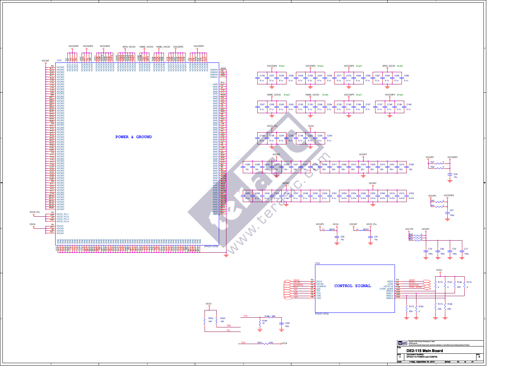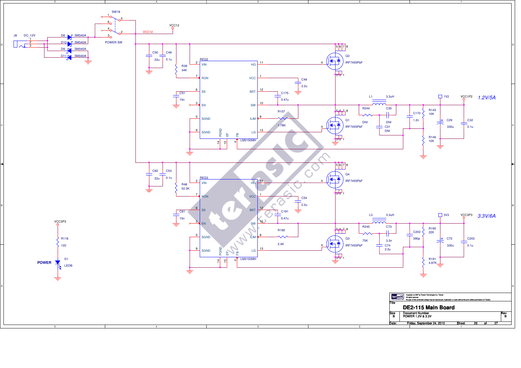